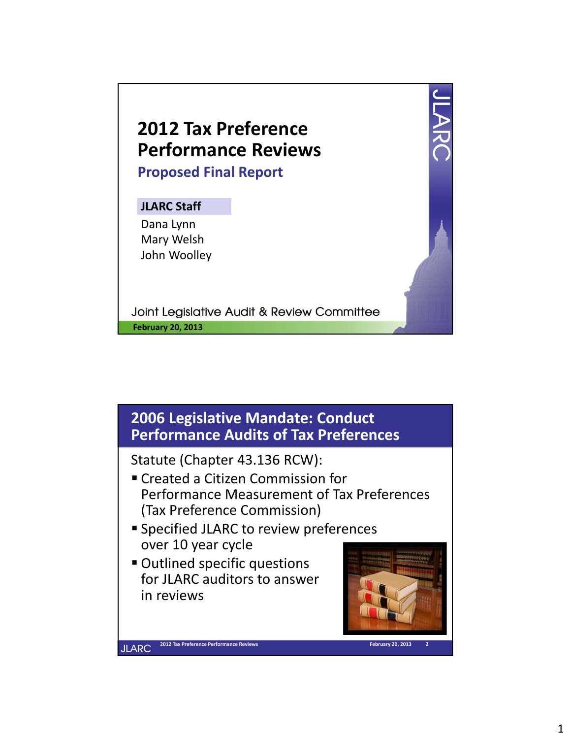



 $\boldsymbol{\varDelta}$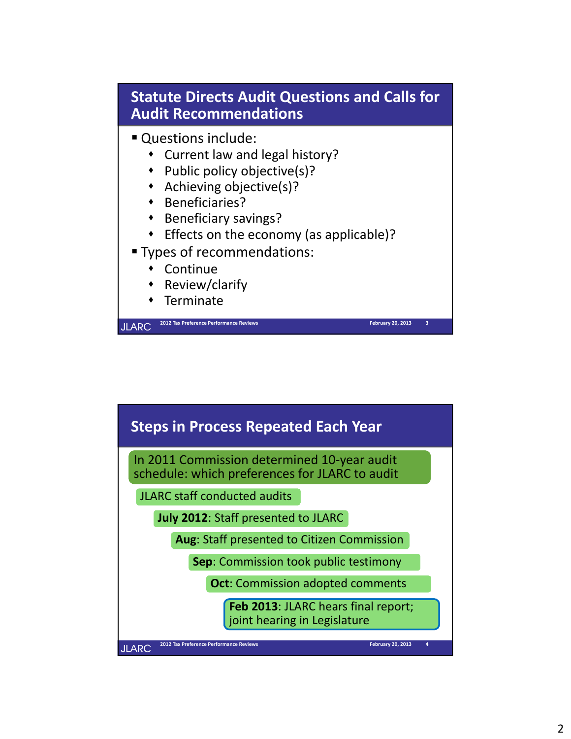

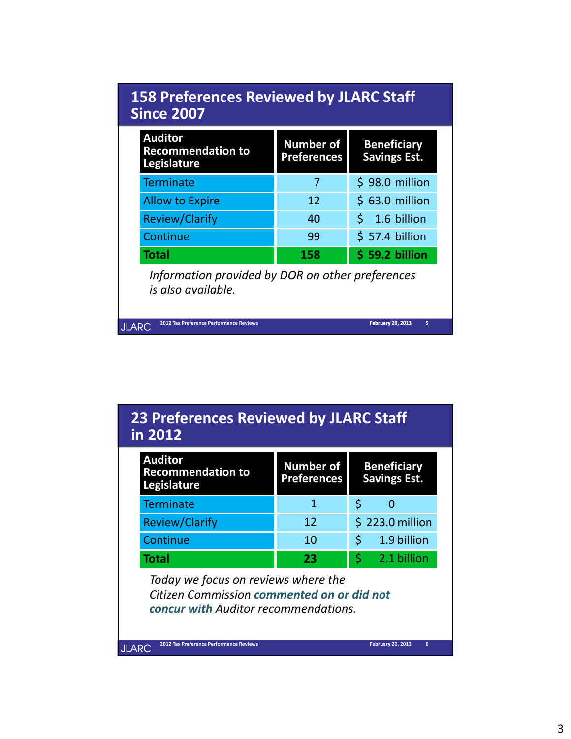| <b>158 Preferences Reviewed by JLARC Staff</b><br><b>Since 2007</b>    |                                        |                                           |  |  |
|------------------------------------------------------------------------|----------------------------------------|-------------------------------------------|--|--|
| <b>Auditor</b><br><b>Recommendation to</b><br>Legislature              | <b>Number of</b><br><b>Preferences</b> | <b>Beneficiary</b><br><b>Savings Est.</b> |  |  |
| <b>Terminate</b>                                                       | 7                                      | \$98.0 million                            |  |  |
| <b>Allow to Expire</b>                                                 | 12                                     | $$63.0$ million                           |  |  |
| <b>Review/Clarify</b>                                                  | 40                                     | $5$ 1.6 billion                           |  |  |
| Continue                                                               | 99                                     | \$57.4 billion                            |  |  |
| Total                                                                  | 158                                    | \$59.2 billion                            |  |  |
| Information provided by DOR on other preferences<br>is also available. |                                        |                                           |  |  |
| 2012 Tax Preference Performance Reviews<br><b>JLARC</b>                |                                        | 5<br>February 20, 2013                    |  |  |

| <b>23 Preferences Reviewed by JLARC Staff</b> |  |
|-----------------------------------------------|--|
| in 2012                                       |  |

| <b>Auditor</b><br><b>Recommendation to</b><br>Legislature | <b>Number of</b><br><b>Preferences</b> | <b>Beneficiary</b><br><b>Savings Est.</b> |  |
|-----------------------------------------------------------|----------------------------------------|-------------------------------------------|--|
| <b>Terminate</b>                                          |                                        |                                           |  |
| <b>Review/Clarify</b>                                     | 12                                     | $$223.0$ million                          |  |
| Continue                                                  | 10                                     | 1.9 billion                               |  |
| <b>Total</b>                                              | 23                                     | 2.1 billion                               |  |

*Today we focus on reviews where the Citizen Commission commented on or did not concur with Auditor recommendations.*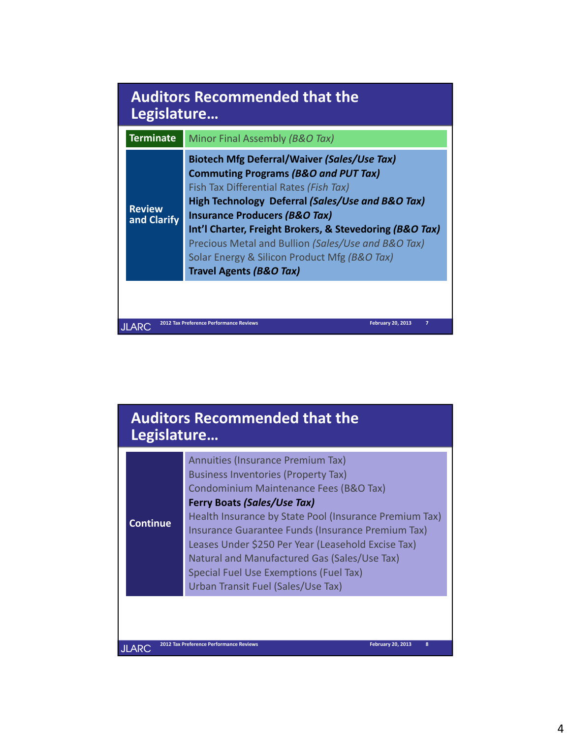| Minor Final Assembly (B&O Tax)<br><b>Biotech Mfg Deferral/Waiver (Sales/Use Tax)</b><br><b>Commuting Programs (B&amp;O and PUT Tax)</b><br>Fish Tax Differential Rates (Fish Tax)<br>High Technology Deferral (Sales/Use and B&O Tax) |
|---------------------------------------------------------------------------------------------------------------------------------------------------------------------------------------------------------------------------------------|
|                                                                                                                                                                                                                                       |
| <b>Insurance Producers (B&amp;O Tax)</b><br>Int'l Charter, Freight Brokers, & Stevedoring (B&O Tax)<br>Precious Metal and Bullion (Sales/Use and B&O Tax)<br>Solar Energy & Silicon Product Mfg (B&O Tax)<br>Travel Agents (B&O Tax)  |
|                                                                                                                                                                                                                                       |
|                                                                                                                                                                                                                                       |

| Health Insurance by State Pool (Insurance Premium Tax)<br><b>Continue</b><br>Insurance Guarantee Funds (Insurance Premium Tax)<br>Leases Under \$250 Per Year (Leasehold Excise Tax)<br>Natural and Manufactured Gas (Sales/Use Tax)<br>Special Fuel Use Exemptions (Fuel Tax)<br>Urban Transit Fuel (Sales/Use Tax) |
|----------------------------------------------------------------------------------------------------------------------------------------------------------------------------------------------------------------------------------------------------------------------------------------------------------------------|
|----------------------------------------------------------------------------------------------------------------------------------------------------------------------------------------------------------------------------------------------------------------------------------------------------------------------|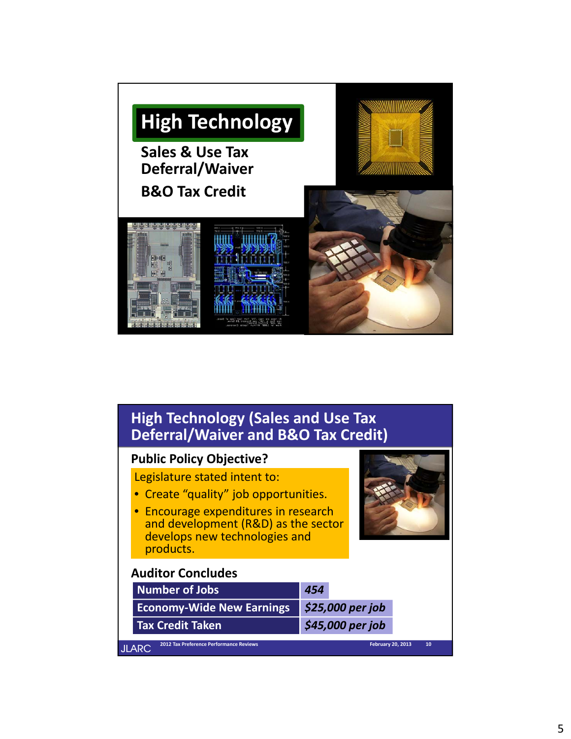

| <b>High Technology (Sales and Use Tax</b><br><b>Deferral/Waiver and B&amp;O Tax Credit)</b>                                                                                                       |                          |    |  |  |
|---------------------------------------------------------------------------------------------------------------------------------------------------------------------------------------------------|--------------------------|----|--|--|
| <b>Public Policy Objective?</b>                                                                                                                                                                   |                          |    |  |  |
| Legislature stated intent to:<br>• Create "quality" job opportunities.<br>Encourage expenditures in research<br>and development (R&D) as the sector<br>develops new technologies and<br>products. |                          |    |  |  |
| <b>Auditor Concludes</b>                                                                                                                                                                          |                          |    |  |  |
| <b>Number of Jobs</b>                                                                                                                                                                             | 454                      |    |  |  |
| <b>Economy-Wide New Earnings</b>                                                                                                                                                                  | \$25,000 per job         |    |  |  |
| <b>Tax Credit Taken</b>                                                                                                                                                                           | \$45,000 per job         |    |  |  |
| 2012 Tax Preference Performance Reviews<br>JLARC                                                                                                                                                  | <b>February 20, 2013</b> | 10 |  |  |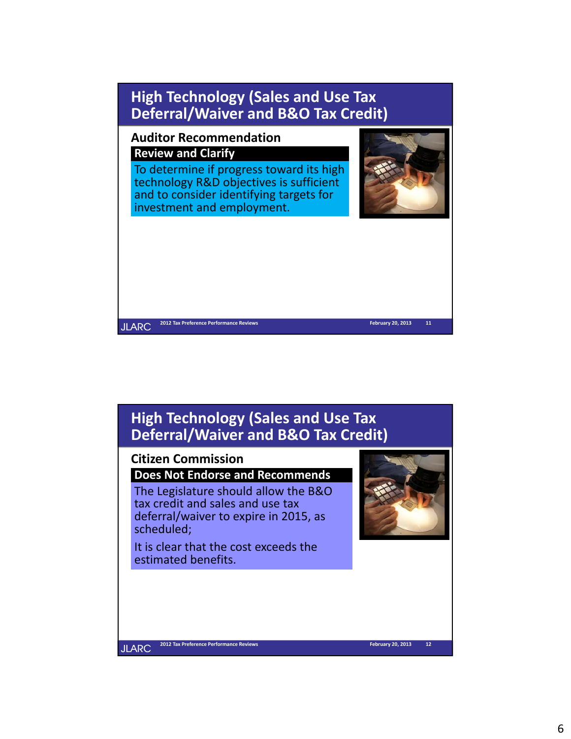![](_page_5_Picture_0.jpeg)

## **High Technology (Sales and Use Tax Deferral/Waiver and B&O Tax Credit)**

#### **Citizen Commission**

**Does Not Endorse and Recommends**

The Legislature should allow the B&O tax credit and sales and use tax deferral/waiver to expire in 2015, as scheduled;

It is clear that the cost exceeds the estimated benefits.

![](_page_5_Picture_6.jpeg)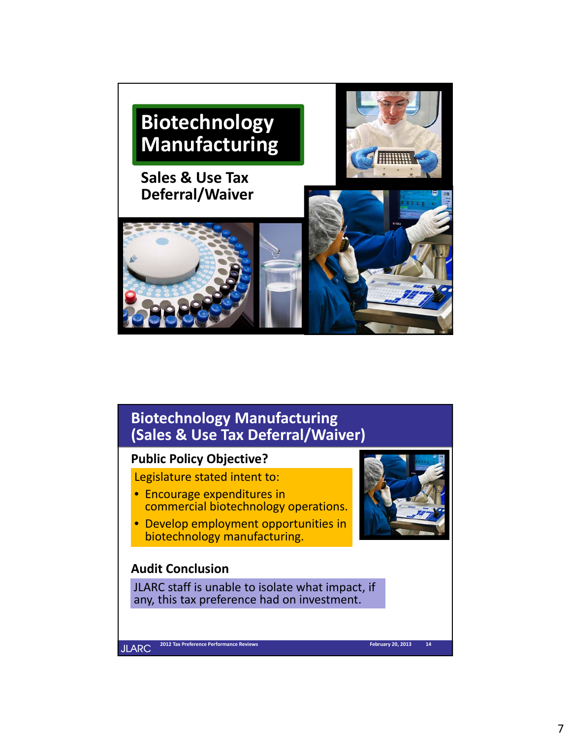![](_page_6_Picture_0.jpeg)

# **Biotechnology Manufacturing (Sales & Use Tax Deferral/Waiver)**

### **Public Policy Objective?**

Legislature stated intent to:

- Encourage expenditures in commercial biotechnology operations.
- Develop employment opportunities in biotechnology manufacturing.

### **Audit Conclusion**

JLARC staff is unable to isolate what impact, if any, this tax preference had on investment.

![](_page_6_Picture_8.jpeg)

**JLARC**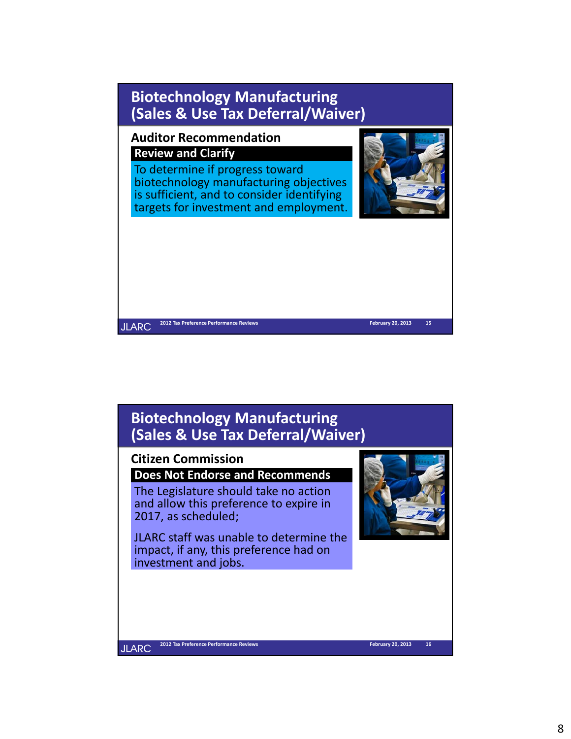![](_page_7_Picture_0.jpeg)

# **Biotechnology Manufacturing (Sales & Use Tax Deferral/Waiver)**

#### **Citizen Commission**

**Does Not Endorse and Recommends**

The Legislature should take no action and allow this preference to expire in 2017, as scheduled;

JLARC staff was unable to determine the impact, if any, this preference had on investment and jobs.

![](_page_7_Picture_6.jpeg)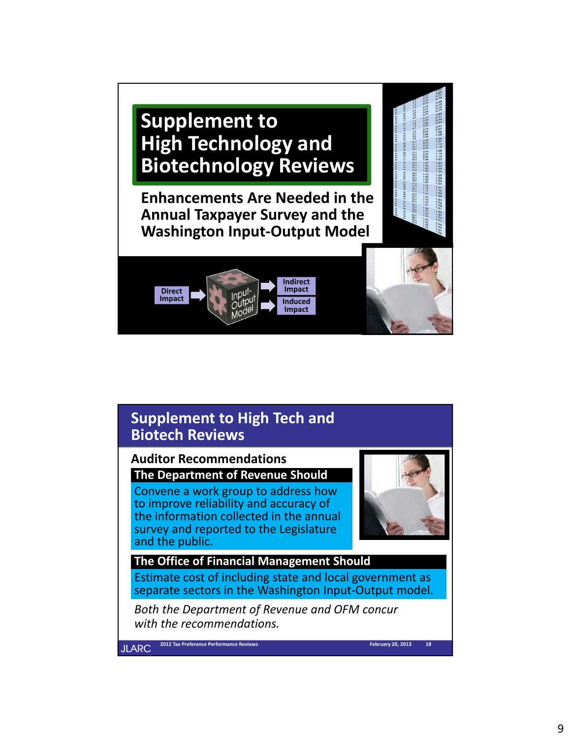# **Supplement to High Technology and Biotechnology Reviews**

**Enhancements Are Needed in the Annual Taxpayer Survey and the Washington Input‐Output Model**

![](_page_8_Picture_2.jpeg)

# **Supplement to High Tech and Biotech Reviews**

**Auditor Recommendations The Department of Revenue Should**

Convene a work group to address how to improve reliability and accuracy of the information collected in the annual survey and reported to the Legislature and the public.

![](_page_8_Picture_6.jpeg)

 $1.29$ <br> $1.24$ <br> $1.24$ <br> $1.25$ 

1123343 ほほぼも ほぼねる 12分の21 21232322 2323828 26分の323333 3433 24 とうりょうきょう うるるの ときのき りつ

### **The Office of Financial Management Should** Estimate cost of including state and local government as separate sectors in the Washington Input-Output model.

*Both the Department of Revenue and OFM concur with the recommendations.*

**JLARC** 

**2012 Tax Preference Performance Reviews 18 February 20, 2013**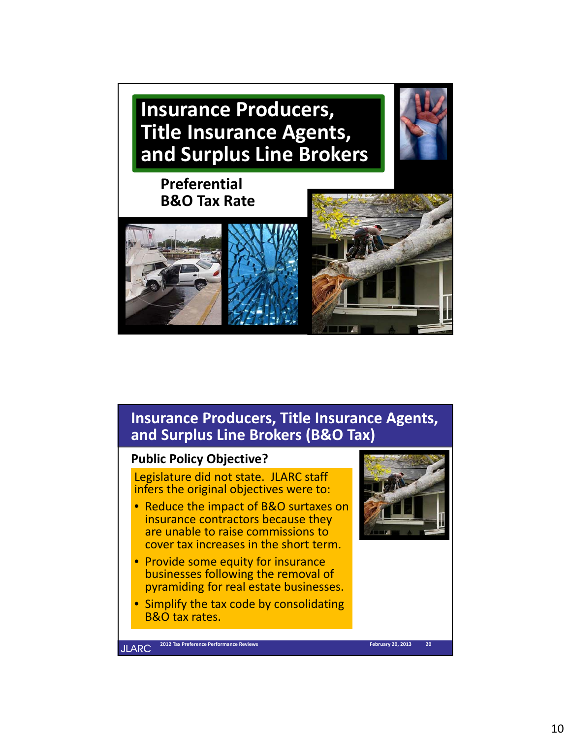**Insurance Producers, Title Insurance Agents, and Surplus Line Brokers**

# **Preferential B&O Tax Rate**

![](_page_9_Picture_2.jpeg)

# **Insurance Producers, Title Insurance Agents, and Surplus Line Brokers (B&O Tax)**

### **Public Policy Objective?**

Legislature did not state. JLARC staff infers the original objectives were to:

- Reduce the impact of B&O surtaxes on insurance contractors because they are unable to raise commissions to cover tax increases in the short term.
- Provide some equity for insurance businesses following the removal of pyramiding for real estate businesses.
- Simplify the tax code by consolidating B&O tax rates.

![](_page_9_Picture_9.jpeg)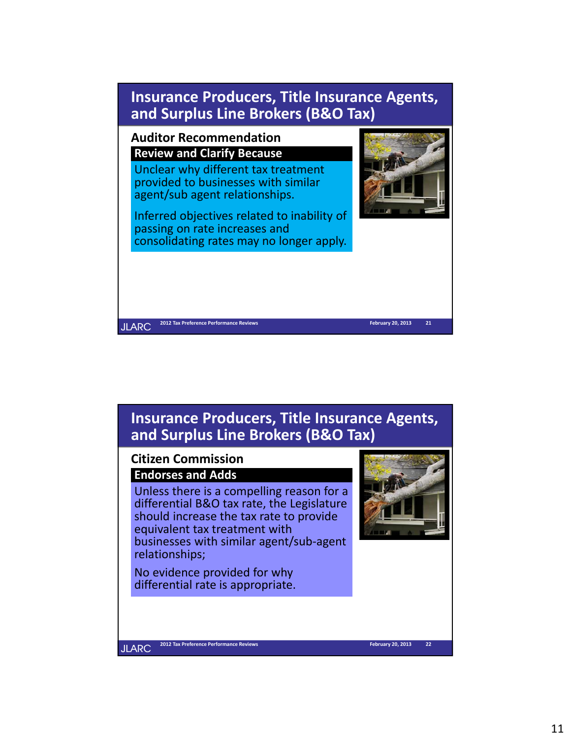![](_page_10_Figure_0.jpeg)

![](_page_10_Figure_1.jpeg)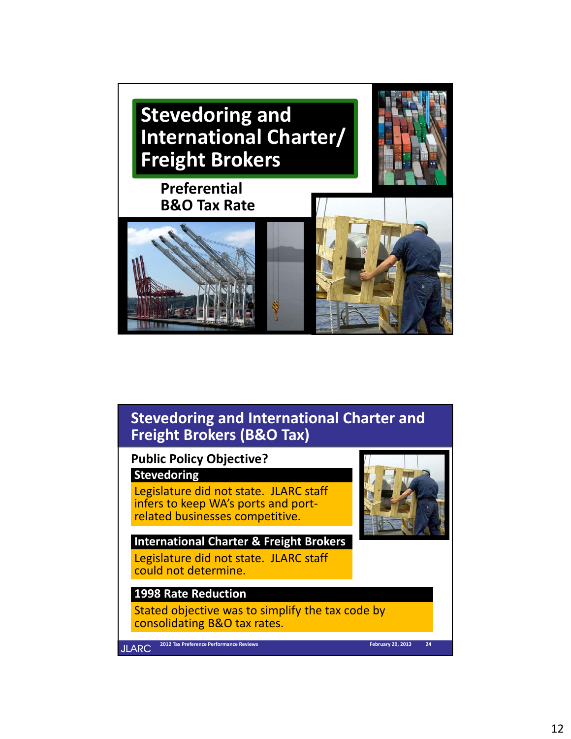![](_page_11_Picture_0.jpeg)

# **Stevedoring and International Charter and Freight Brokers (B&O Tax)**

**Public Policy Objective?**

### **Stevedoring**

Legislature did not state. JLARC staff infers to keep WA's ports and port-<br>related businesses competitive.

**International Charter & Freight Brokers** Legislature did not state. JLARC staff could not determine.

### **1998 Rate Reduction**

Stated objective was to simplify the tax code by consolidating B&O tax rates.

**JLARC** 

**2012 Tax Preference Performance Reviews 24 February 20, 2013**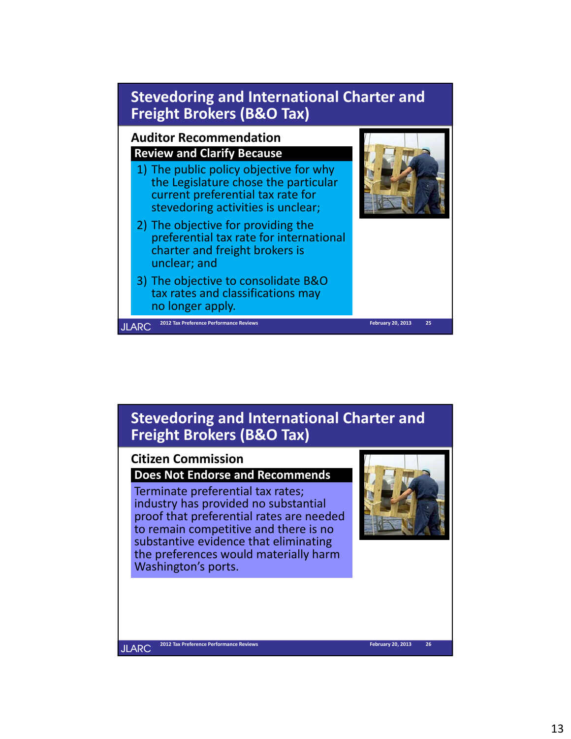![](_page_12_Figure_0.jpeg)

# **Stevedoring and International Charter and Freight Brokers (B&O Tax)**

#### **Citizen Commission**

**Does Not Endorse and Recommends**

Terminate preferential tax rates; industry has provided no substantial proof that preferential rates are needed to remain competitive and there is no substantive evidence that eliminating the preferences would materially harm Washington's ports.

![](_page_12_Picture_5.jpeg)

**2012 Tax Preference Performance Reviews 26 February 20, 2013**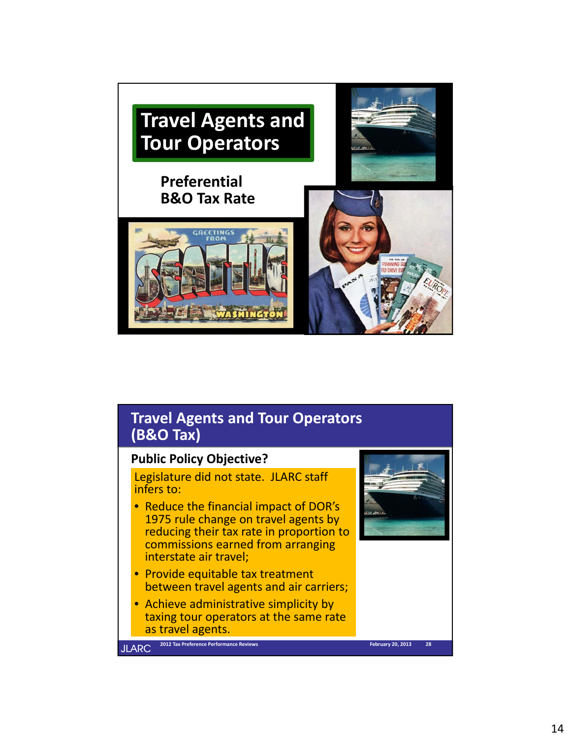![](_page_13_Picture_0.jpeg)

### **Travel Agents and Tour Operators (B&O Tax)**

### **Public Policy Objective?**

Legislature did not state. JLARC staff infers to:

- Reduce the financial impact of DOR's 1975 rule change on travel agents by reducing their tax rate in proportion to commissions earned from arranging interstate air travel;
- Provide equitable tax treatment between travel agents and air carriers;
- Achieve administrative simplicity by taxing tour operators at the same rate as travel agents.

![](_page_13_Picture_7.jpeg)

![](_page_13_Picture_8.jpeg)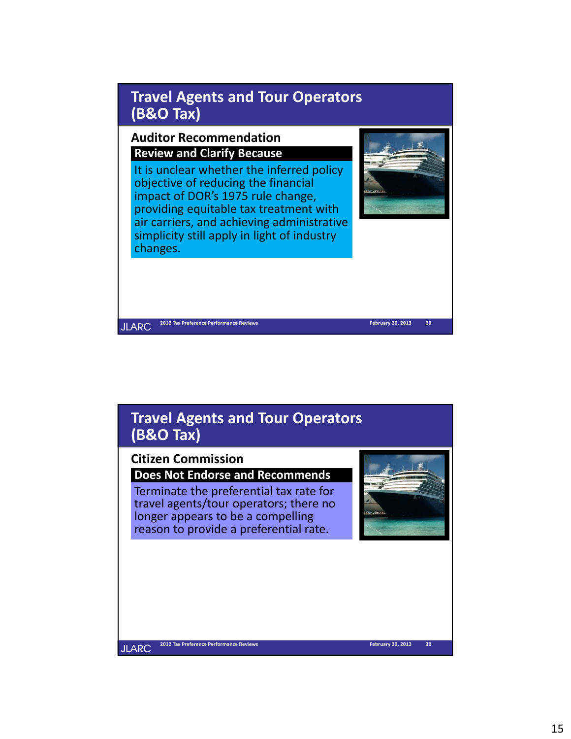![](_page_14_Figure_0.jpeg)

simplicity still apply in light of industry

**2012 Tax Preference Performance Reviews 29 February 20, 2013**

# **Travel Agents and Tour Operators (B&O Tax)**

### **Citizen Commission**

changes.

**JLARC** 

**Does Not Endorse and Recommends**

Terminate the preferential tax rate for travel agents/tour operators; there no longer appears to be a compelling reason to provide a preferential rate.

![](_page_14_Picture_5.jpeg)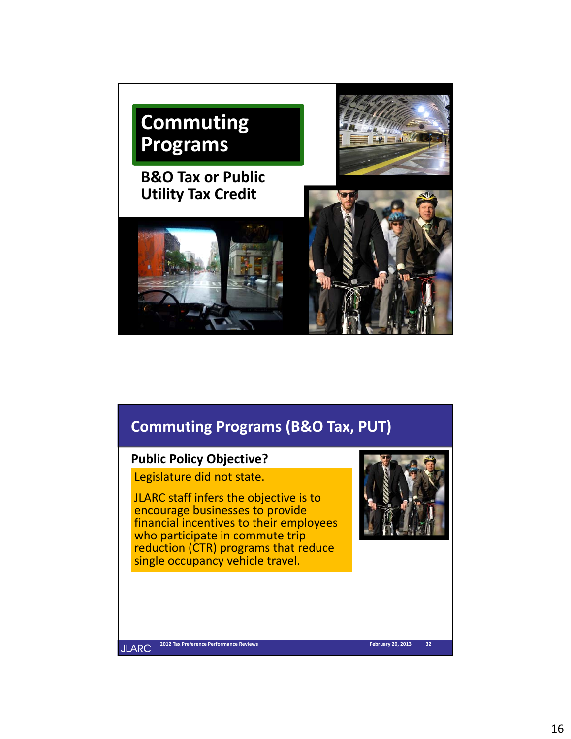![](_page_15_Picture_0.jpeg)

# **Commuting Programs (B&O Tax, PUT)**

### **Public Policy Objective?**

Legislature did not state.

JLARC staff infers the objective is to encourage businesses to provide financial incentives to their employees who participate in commute trip reduction (CTR) programs that reduce single occupancy vehicle travel.

![](_page_15_Picture_5.jpeg)

**2012 Tax Preference Performance Reviews 32 February 20, 2013**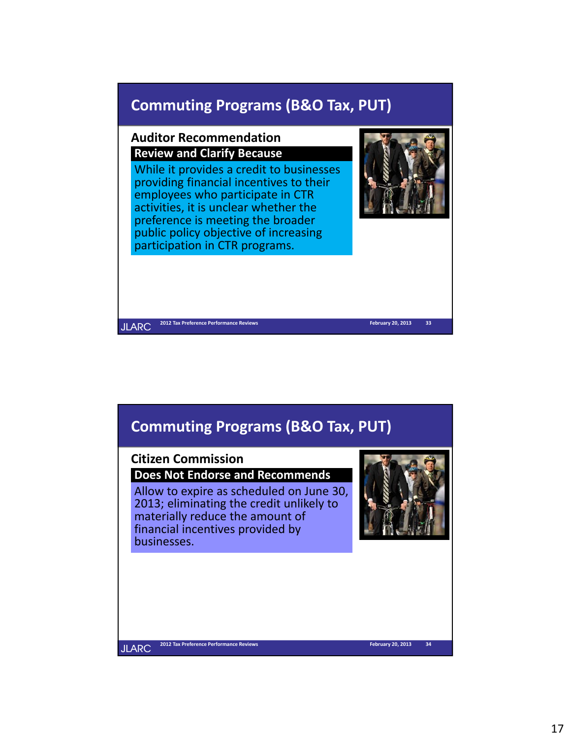# **Commuting Programs (B&O Tax, PUT)**

### **Auditor Recommendation Review and Clarify Because**

While it provides a credit to businesses providing financial incentives to their employees who participate in CTR activities, it is unclear whether the preference is meeting the broader public policy objective of increasing participation in CTR programs.

![](_page_16_Picture_3.jpeg)

**2012 Tax Preference Performance Reviews 33 February 20, 2013 JLARC** 

# **Commuting Programs (B&O Tax, PUT)**

#### **Citizen Commission**

**Does Not Endorse and Recommends**

Allow to expire as scheduled on June 30, 2013; eliminating the credit unlikely to materially reduce the amount of financial incentives provided by businesses.

![](_page_16_Picture_10.jpeg)

**2012 Tax Preference Performance Reviews 34 February 20, 2013**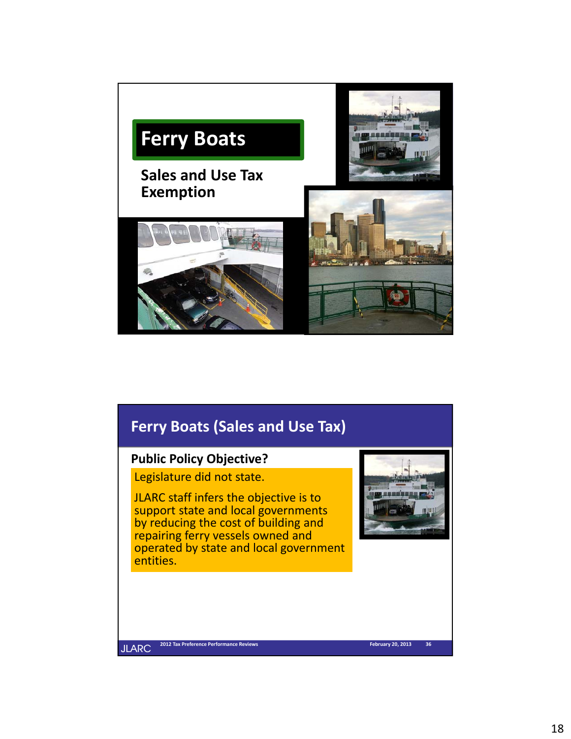![](_page_17_Picture_0.jpeg)

# **Ferry Boats (Sales and Use Tax)**

### **Public Policy Objective?**

Legislature did not state.

JLARC staff infers the objective is to support state and local governments by reducing the cost of building and repairing ferry vessels owned and operated by state and local government entities.

![](_page_17_Picture_5.jpeg)

**JLARC** 

**2012 Tax Preference Performance Reviews 36 February 20, 2013**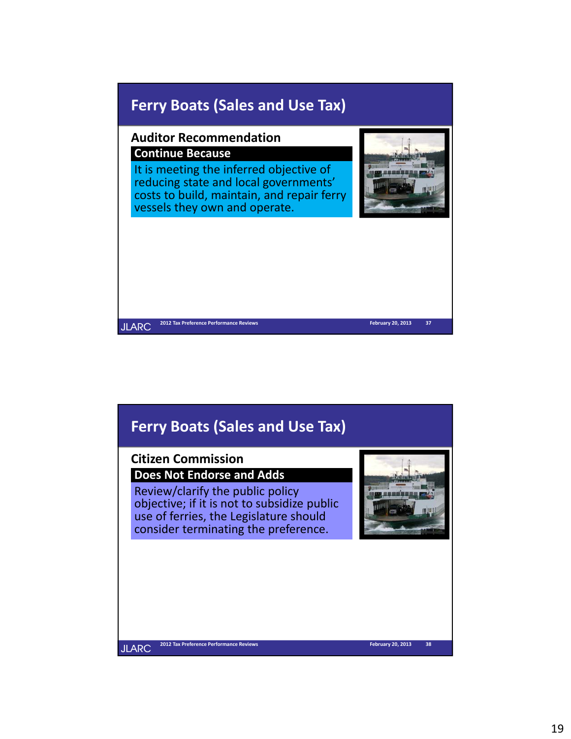![](_page_18_Picture_0.jpeg)

# **Ferry Boats (Sales and Use Tax)**

### **Citizen Commission**

**Does Not Endorse and Adds**

Review/clarify the public policy objective; if it is not to subsidize public use of ferries, the Legislature should consider terminating the preference.

![](_page_18_Picture_5.jpeg)

**2012 Tax Preference Performance Reviews 38 February 20, 2013**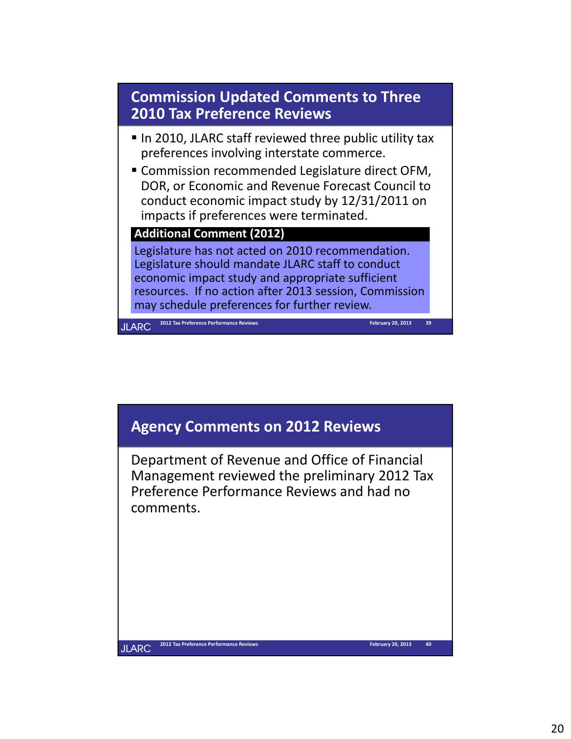![](_page_19_Figure_0.jpeg)

![](_page_19_Figure_1.jpeg)

Department of Revenue and Office of Financial Management reviewed the preliminary 2012 Tax Preference Performance Reviews and had no comments.